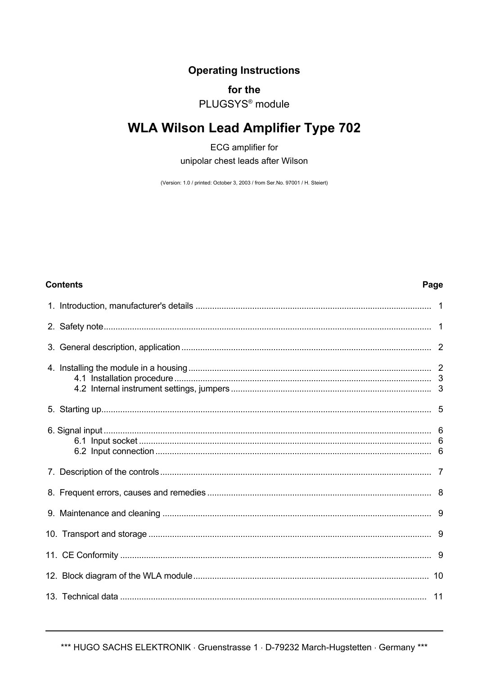# **Operating Instructions**

# for the

# PI UGSYS<sup>®</sup> module

# **WLA Wilson Lead Amplifier Type 702**

**ECG** amplifier for unipolar chest leads after Wilson

(Version: 1.0 / printed: October 3, 2003 / from Ser.No. 97001 / H. Steiert)

# **Contents**

# 6

# Page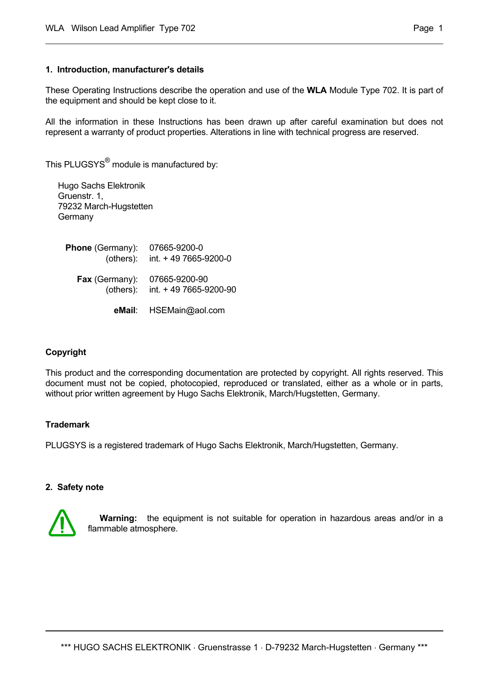### **1. Introduction, manufacturer's details**

These Operating Instructions describe the operation and use of the **WLA** Module Type 702. It is part of the equipment and should be kept close to it.

All the information in these Instructions has been drawn up after careful examination but does not represent a warranty of product properties. Alterations in line with technical progress are reserved.

This PLUGSYS<sup>®</sup> module is manufactured by:

Hugo Sachs Elektronik Gruenstr. 1, 79232 March-Hugstetten **Germany** 

 **Phone** (Germany): 07665-9200-0 (others): int. + 49 7665-9200-0  **Fax** (Germany): 07665-9200-90 (others): int. + 49 7665-9200-90

 **eMail**: HSEMain@aol.com

#### **Copyright**

This product and the corresponding documentation are protected by copyright. All rights reserved. This document must not be copied, photocopied, reproduced or translated, either as a whole or in parts, without prior written agreement by Hugo Sachs Elektronik, March/Hugstetten, Germany.

#### **Trademark**

PLUGSYS is a registered trademark of Hugo Sachs Elektronik, March/Hugstetten, Germany.

#### **2. Safety note**



 **Warning:** the equipment is not suitable for operation in hazardous areas and/or in a flammable atmosphere.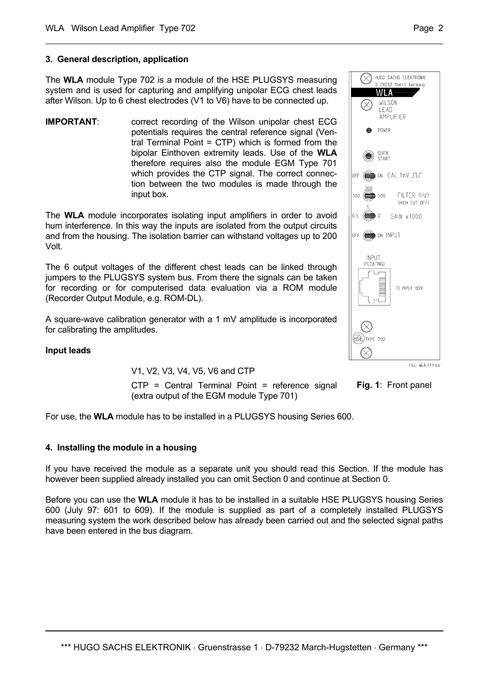# **3. General description, application**

The **WLA** module Type 702 is a module of the HSE PLUGSYS measuring system and is used for capturing and amplifying unipolar ECG chest leads after Wilson. Up to 6 chest electrodes (V1 to V6) have to be connected up.

**IMPORTANT:** correct recording of the Wilson unipolar chest ECG potentials requires the central reference signal (Ventral Terminal Point = CTP) which is formed from the bipolar Einthoven extremity leads. Use of the **WLA** therefore requires also the module EGM Type 701 which provides the CTP signal. The correct connection between the two modules is made through the input box.

The **WLA** module incorporates isolating input amplifiers in order to avoid hum interference. In this way the inputs are isolated from the output circuits and from the housing. The isolation barrier can withstand voltages up to 200 Volt.

The 6 output voltages of the different chest leads can be linked through jumpers to the PLUGSYS system bus. From there the signals can be taken for recording or for computerised data evaluation via a ROM module (Recorder Output Module, e.g. ROM-DL).

A square-wave calibration generator with a 1 mV amplitude is incorporated for calibrating the amplitudes.

# **Input leads**

V1, V2, V3, V4, V5, V6 and CTP

CTP = Central Terminal Point = reference signal (extra output of the EGM module Type 701)

For use, the **WLA** module has to be installed in a PLUGSYS housing Series 600.

#### **4. Installing the module in a housing**

If you have received the module as a separate unit you should read this Section. If the module has however been supplied already installed you can omit Section 0 and continue at Section 0.

Before you can use the **WLA** module it has to be installed in a suitable HSE PLUGSYS housing Series 600 (July 97: 601 to 609). If the module is supplied as part of a completely installed PLUGSYS measuring system the work described below has already been carried out and the selected signal paths have been entered in the bus diagram.



**Fig. 1**: Front panel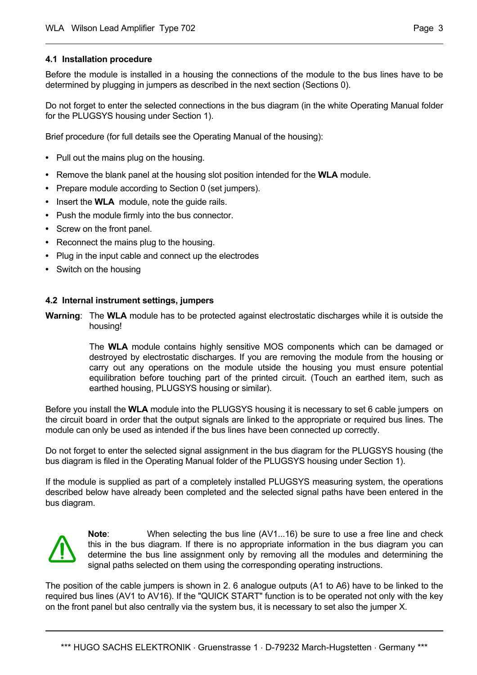# **4.1 Installation procedure**

Before the module is installed in a housing the connections of the module to the bus lines have to be determined by plugging in jumpers as described in the next section (Sections 0).

Do not forget to enter the selected connections in the bus diagram (in the white Operating Manual folder for the PLUGSYS housing under Section 1).

Brief procedure (for full details see the Operating Manual of the housing):

- **•** Pull out the mains plug on the housing.
- **•** Remove the blank panel at the housing slot position intended for the **WLA** module.
- **•** Prepare module according to Section 0 (set jumpers).
- **•** Insert the **WLA** module, note the guide rails.
- **•** Push the module firmly into the bus connector.
- **•** Screw on the front panel.
- **•** Reconnect the mains plug to the housing.
- **•** Plug in the input cable and connect up the electrodes
- **•** Switch on the housing

# **4.2 Internal instrument settings, jumpers**

**Warning**: The **WLA** module has to be protected against electrostatic discharges while it is outside the housing!

> The **WLA** module contains highly sensitive MOS components which can be damaged or destroyed by electrostatic discharges. If you are removing the module from the housing or carry out any operations on the module utside the housing you must ensure potential equilibration before touching part of the printed circuit. (Touch an earthed item, such as earthed housing, PLUGSYS housing or similar).

Before you install the **WLA** module into the PLUGSYS housing it is necessary to set 6 cable jumpers on the circuit board in order that the output signals are linked to the appropriate or required bus lines. The module can only be used as intended if the bus lines have been connected up correctly.

Do not forget to enter the selected signal assignment in the bus diagram for the PLUGSYS housing (the bus diagram is filed in the Operating Manual folder of the PLUGSYS housing under Section 1).

If the module is supplied as part of a completely installed PLUGSYS measuring system, the operations described below have already been completed and the selected signal paths have been entered in the bus diagram.



**Note**: When selecting the bus line (AV1...16) be sure to use a free line and check this in the bus diagram. If there is no appropriate information in the bus diagram you can determine the bus line assignment only by removing all the modules and determining the signal paths selected on them using the corresponding operating instructions.

The position of the cable jumpers is shown in 2. 6 analogue outputs (A1 to A6) have to be linked to the required bus lines (AV1 to AV16). If the "QUICK START" function is to be operated not only with the key on the front panel but also centrally via the system bus, it is necessary to set also the jumper X.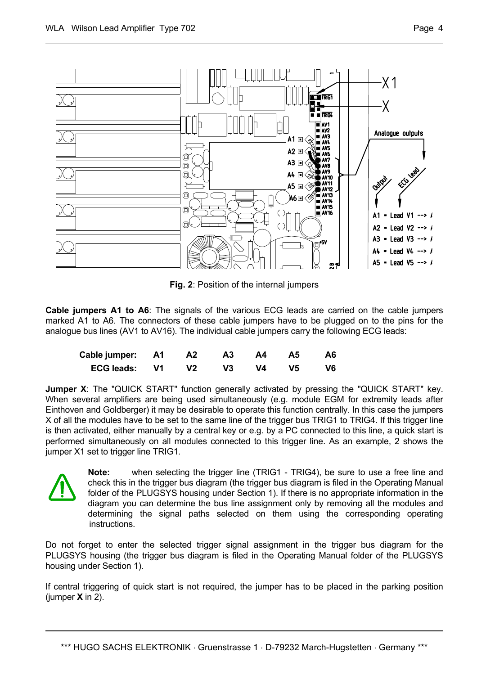

**Fig. 2**: Position of the internal jumpers

**Cable jumpers A1 to A6**: The signals of the various ECG leads are carried on the cable jumpers marked A1 to A6. The connectors of these cable jumpers have to be plugged on to the pins for the analogue bus lines (AV1 to AV16). The individual cable jumpers carry the following ECG leads:

| Cable jumper: A1 A2 |    |    | A3 A4 A5 | - A6 |
|---------------------|----|----|----------|------|
| ECG leads: V1       | V2 | V3 | V4 V5    | - V6 |

**Jumper X:** The "QUICK START" function generally activated by pressing the "QUICK START" key. When several amplifiers are being used simultaneously (e.g. module EGM for extremity leads after Einthoven and Goldberger) it may be desirable to operate this function centrally. In this case the jumpers X of all the modules have to be set to the same line of the trigger bus TRIG1 to TRIG4. If this trigger line is then activated, either manually by a central key or e.g. by a PC connected to this line, a quick start is performed simultaneously on all modules connected to this trigger line. As an example, 2 shows the jumper X1 set to trigger line TRIG1.



**Note:** when selecting the trigger line (TRIG1 - TRIG4), be sure to use a free line and check this in the trigger bus diagram (the trigger bus diagram is filed in the Operating Manual folder of the PLUGSYS housing under Section 1). If there is no appropriate information in the diagram you can determine the bus line assignment only by removing all the modules and determining the signal paths selected on them using the corresponding operating instructions.

Do not forget to enter the selected trigger signal assignment in the trigger bus diagram for the PLUGSYS housing (the trigger bus diagram is filed in the Operating Manual folder of the PLUGSYS housing under Section 1).

If central triggering of quick start is not required, the jumper has to be placed in the parking position (iumper  $X$  in 2).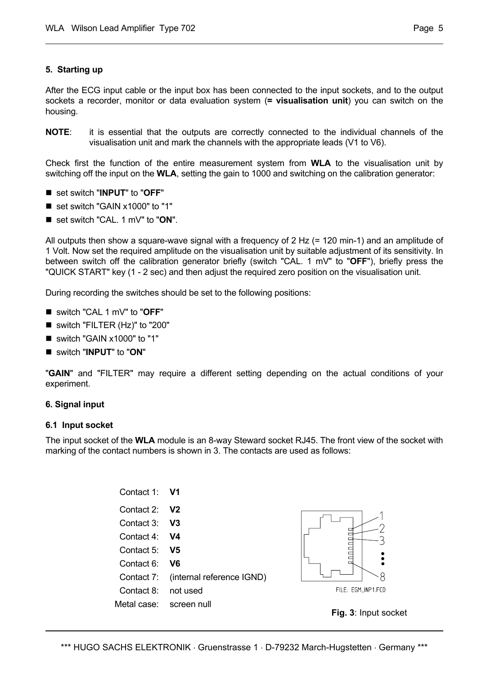### **5. Starting up**

After the ECG input cable or the input box has been connected to the input sockets, and to the output sockets a recorder, monitor or data evaluation system (**= visualisation unit**) you can switch on the housing.

**NOTE**: it is essential that the outputs are correctly connected to the individual channels of the visualisation unit and mark the channels with the appropriate leads (V1 to V6).

Check first the function of the entire measurement system from **WLA** to the visualisation unit by switching off the input on the **WLA**, setting the gain to 1000 and switching on the calibration generator:

- set switch "**INPUT**" to "OFF"
- set switch "GAIN x1000" to "1"
- set switch "CAL. 1 mV" to "ON".

All outputs then show a square-wave signal with a frequency of 2 Hz (= 120 min-1) and an amplitude of 1 Volt. Now set the required amplitude on the visualisation unit by suitable adjustment of its sensitivity. In between switch off the calibration generator briefly (switch "CAL. 1 mV" to "**OFF**"), briefly press the "QUICK START" key (1 - 2 sec) and then adjust the required zero position on the visualisation unit.

During recording the switches should be set to the following positions:

- switch "CAL 1 mV" to "**OFF**"
- switch "FILTER (Hz)" to "200"
- switch "GAIN x1000" to "1"
- switch "**INPUT**" to "**ON**"

"**GAIN**" and "FILTER" may require a different setting depending on the actual conditions of your experiment.

#### **6. Signal input**

#### **6.1 Input socket**

The input socket of the **WLA** module is an 8-way Steward socket RJ45. The front view of the socket with marking of the contact numbers is shown in 3. The contacts are used as follows:

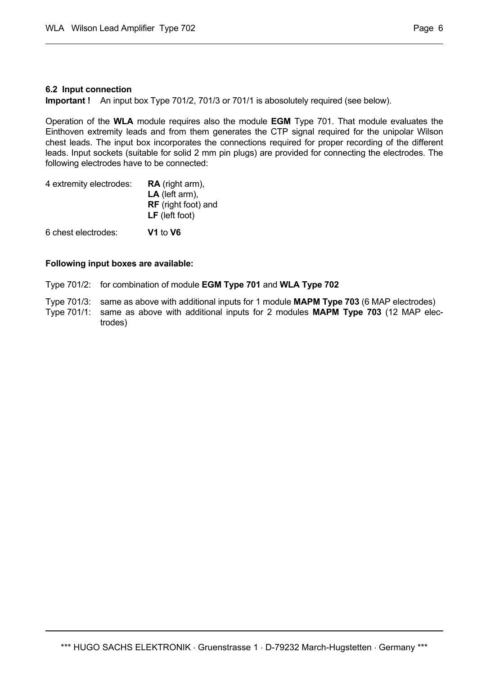# **6.2 Input connection**

**Important !** An input box Type 701/2, 701/3 or 701/1 is abosolutely required (see below).

Operation of the **WLA** module requires also the module **EGM** Type 701. That module evaluates the Einthoven extremity leads and from them generates the CTP signal required for the unipolar Wilson chest leads. The input box incorporates the connections required for proper recording of the different leads. Input sockets (suitable for solid 2 mm pin plugs) are provided for connecting the electrodes. The following electrodes have to be connected:

| 4 extremity electrodes: | <b>RA</b> (right arm),     |  |  |
|-------------------------|----------------------------|--|--|
|                         | $LA$ (left arm),           |  |  |
|                         | <b>RF</b> (right foot) and |  |  |
|                         | <b>LF</b> (left foot)      |  |  |
| 6 chest electrodes:     | V1 to V6                   |  |  |

# **Following input boxes are available:**

Type 701/2: for combination of module **EGM Type 701** and **WLA Type 702**

- Type 701/3: same as above with additional inputs for 1 module **MAPM Type 703** (6 MAP electrodes)
- Type 701/1: same as above with additional inputs for 2 modules **MAPM Type 703** (12 MAP electrodes)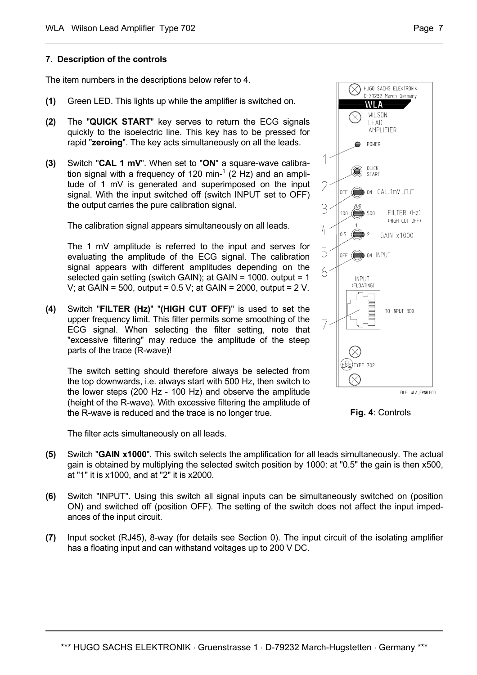#### **7. Description of the controls**

The item numbers in the descriptions below refer to 4.

- **(1)** Green LED. This lights up while the amplifier is switched on.
- **(2)** The "**QUICK START**" key serves to return the ECG signals quickly to the isoelectric line. This key has to be pressed for rapid "**zeroing**". The key acts simultaneously on all the leads.
- **(3)** Switch "**CAL 1 mV**". When set to "**ON**" a square-wave calibration signal with a frequency of 120 min- $1$  (2 Hz) and an amplitude of 1 mV is generated and superimposed on the input signal. With the input switched off (switch INPUT set to OFF) the output carries the pure calibration signal.

The calibration signal appears simultaneously on all leads.

The 1 mV amplitude is referred to the input and serves for evaluating the amplitude of the ECG signal. The calibration signal appears with different amplitudes depending on the selected gain setting (switch GAIN); at GAIN = 1000. output = 1 V; at GAIN = 500, output = 0.5 V; at GAIN = 2000, output = 2 V.

**(4)** Switch "**FILTER (Hz)**" "**(HIGH CUT OFF)**" is used to set the upper frequency limit. This filter permits some smoothing of the ECG signal. When selecting the filter setting, note that "excessive filtering" may reduce the amplitude of the steep parts of the trace (R-wave)!

The switch setting should therefore always be selected from the top downwards, i.e. always start with 500 Hz, then switch to the lower steps (200 Hz - 100 Hz) and observe the amplitude (height of the R-wave). With excessive filtering the amplitude of the R-wave is reduced and the trace is no longer true.

The filter acts simultaneously on all leads.

- **(5)** Switch "**GAIN x1000**". This switch selects the amplification for all leads simultaneously. The actual gain is obtained by multiplying the selected switch position by 1000: at "0.5" the gain is then x500, at "1" it is x1000, and at "2" it is x2000.
- **(6)** Switch "INPUT". Using this switch all signal inputs can be simultaneously switched on (position ON) and switched off (position OFF). The setting of the switch does not affect the input impedances of the input circuit.
- **(7)** Input socket (RJ45), 8-way (for details see Section 0). The input circuit of the isolating amplifier has a floating input and can withstand voltages up to 200 V DC.





**Fig. 4**: Controls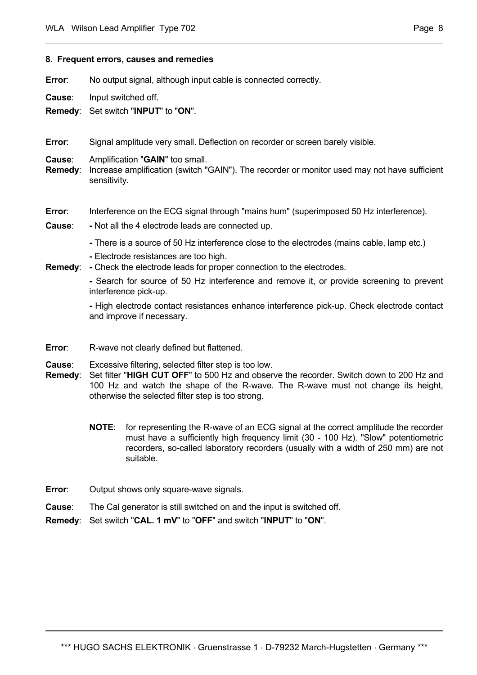#### **8. Frequent errors, causes and remedies**

**Error:** No output signal, although input cable is connected correctly.

**Cause**: Input switched off.

**Remedy**: Set switch "**INPUT**" to "**ON**".

**Error**: Signal amplitude very small. Deflection on recorder or screen barely visible.

**Cause**: Amplification "**GAIN**" too small.

**Remedy**: Increase amplification (switch "GAIN"). The recorder or monitor used may not have sufficient sensitivity.

# **Error:** Interference on the ECG signal through "mains hum" (superimposed 50 Hz interference).

- **Cause**: **-** Not all the 4 electrode leads are connected up.
	- **-** There is a source of 50 Hz interference close to the electrodes (mains cable, lamp etc.)
	- **-** Electrode resistances are too high.
- **Remedy**: **-** Check the electrode leads for proper connection to the electrodes.

 **-** Search for source of 50 Hz interference and remove it, or provide screening to prevent interference pick-up.

 **-** High electrode contact resistances enhance interference pick-up. Check electrode contact and improve if necessary.

- **Error:** R-wave not clearly defined but flattened.
- **Cause**: Excessive filtering, selected filter step is too low.
- **Remedy**: Set filter "**HIGH CUT OFF**" to 500 Hz and observe the recorder. Switch down to 200 Hz and 100 Hz and watch the shape of the R-wave. The R-wave must not change its height, otherwise the selected filter step is too strong.
	- **NOTE**: for representing the R-wave of an ECG signal at the correct amplitude the recorder must have a sufficiently high frequency limit (30 - 100 Hz). "Slow" potentiometric recorders, so-called laboratory recorders (usually with a width of 250 mm) are not suitable.
- **Error:** Output shows only square-wave signals.
- **Cause**: The Cal generator is still switched on and the input is switched off.
- **Remedy**: Set switch "**CAL. 1 mV**" to "**OFF**" and switch "**INPUT**" to "**ON**".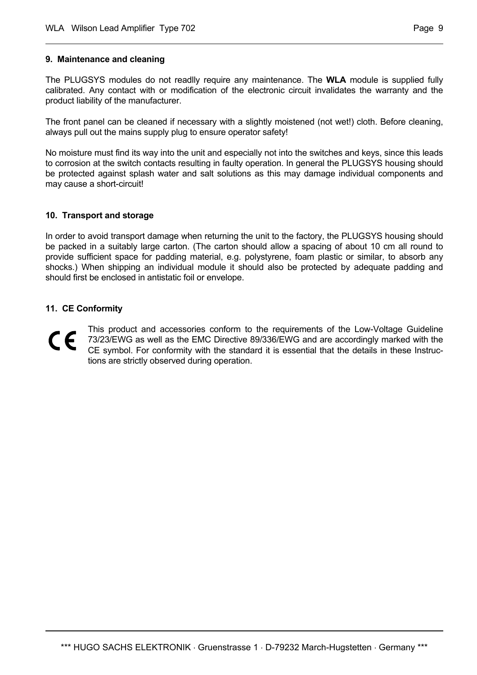### **9. Maintenance and cleaning**

The PLUGSYS modules do not readlly require any maintenance. The **WLA** module is supplied fully calibrated. Any contact with or modification of the electronic circuit invalidates the warranty and the product liability of the manufacturer.

The front panel can be cleaned if necessary with a slightly moistened (not wet!) cloth. Before cleaning, always pull out the mains supply plug to ensure operator safety!

No moisture must find its way into the unit and especially not into the switches and keys, since this leads to corrosion at the switch contacts resulting in faulty operation. In general the PLUGSYS housing should be protected against splash water and salt solutions as this may damage individual components and may cause a short-circuit!

# **10. Transport and storage**

In order to avoid transport damage when returning the unit to the factory, the PLUGSYS housing should be packed in a suitably large carton. (The carton should allow a spacing of about 10 cm all round to provide sufficient space for padding material, e.g. polystyrene, foam plastic or similar, to absorb any shocks.) When shipping an individual module it should also be protected by adequate padding and should first be enclosed in antistatic foil or envelope.

# **11. CE Conformity**

This product and accessories conform to the requirements of the Low-Voltage Guideline  $\epsilon$ 73/23/EWG as well as the EMC Directive 89/336/EWG and are accordingly marked with the CE symbol. For conformity with the standard it is essential that the details in these Instructions are strictly observed during operation.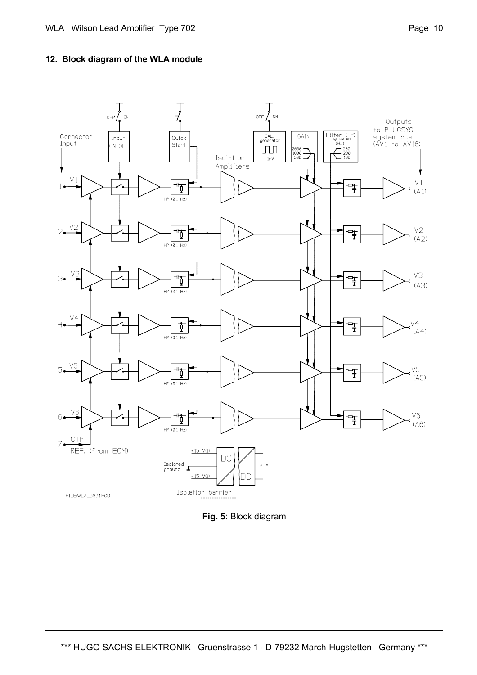# **12. Block diagram of the WLA module**



**Fig. 5**: Block diagram